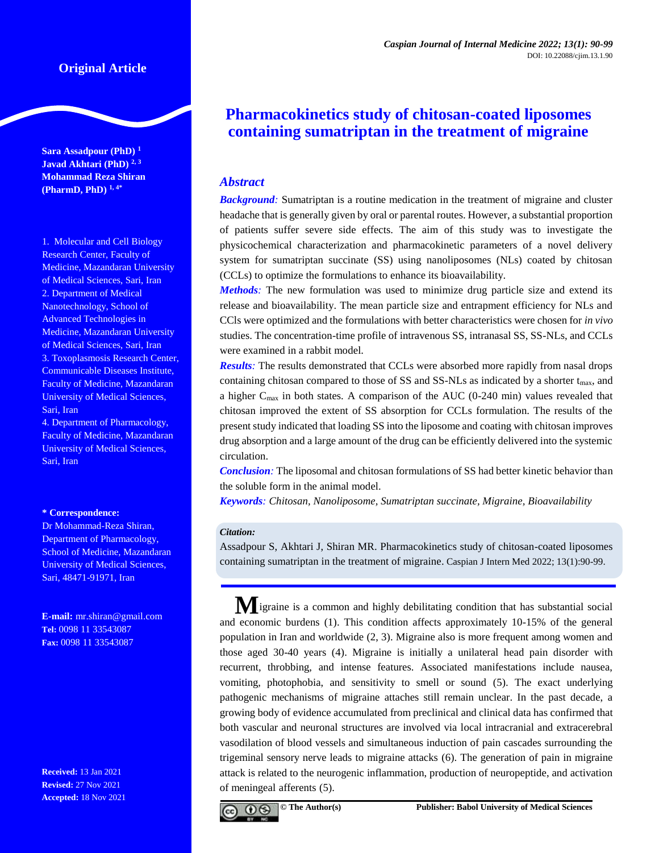# **Original Article**

**Sara Assadpour (PhD) <sup>1</sup> Javad Akhtari (PhD) 2, <sup>3</sup> Mohammad Reza Shiran (PharmD, PhD) 1, 4\***

1. Molecular and Cell Biology Research Center, Faculty of Medicine, Mazandaran University of Medical Sciences, Sari, Iran 2. Department of Medical Nanotechnology, School of Advanced Technologies in Medicine, Mazandaran University of Medical Sciences, Sari, Iran 3. Toxoplasmosis Research Center, Communicable Diseases Institute, Faculty of Medicine, Mazandaran University of Medical Sciences, Sari, Iran

4. Department of Pharmacology, Faculty of Medicine, Mazandaran University of Medical Sciences, Sari, Iran

#### **\* Correspondence:**

Dr Mohammad-Reza Shiran, Department of Pharmacology, School of Medicine, Mazandaran University of Medical Sciences, Sari, 48471-91971, Iran

**E-mail:** [mr.shiran@gmail.com](mailto:mr.shiran@gmail.com) **Tel:** 0098 11 33543087 **Fax:** 0098 11 33543087

**Received:** 13 Jan 2021 **Revised:** 27 Nov 2021 **Accepted:** 18 Nov 2021

# **Pharmacokinetics study of chitosan-coated liposomes containing sumatriptan in the treatment of migraine**

# *Abstract*

*Background:* Sumatriptan is a routine medication in the treatment of migraine and cluster headache that is generally given by oral or parental routes. However, a substantial proportion of patients suffer severe side effects. The aim of this study was to investigate the physicochemical characterization and pharmacokinetic parameters of a novel delivery system for sumatriptan succinate (SS) using nanoliposomes (NLs) coated by chitosan (CCLs) to optimize the formulations to enhance its bioavailability.

*Methods:* The new formulation was used to minimize drug particle size and extend its release and bioavailability. The mean particle size and entrapment efficiency for NLs and CCls were optimized and the formulations with better characteristics were chosen for *in vivo* studies. The concentration-time profile of intravenous SS, intranasal SS, SS-NLs, and CCLs were examined in a rabbit model.

*Results:* The results demonstrated that CCLs were absorbed more rapidly from nasal drops containing chitosan compared to those of SS and SS-NLs as indicated by a shorter t<sub>max</sub>, and a higher Cmax in both states. A comparison of the AUC (0-240 min) values revealed that chitosan improved the extent of SS absorption for CCLs formulation. The results of the present study indicated that loading SS into the liposome and coating with chitosan improves drug absorption and a large amount of the drug can be efficiently delivered into the systemic circulation.

*Conclusion:* The liposomal and chitosan formulations of SS had better kinetic behavior than the soluble form in the animal model.

*Keywords: Chitosan, Nanoliposome, Sumatriptan succinate, Migraine, Bioavailability*

## *Citation:*

Assadpour S, Akhtari J, Shiran MR. Pharmacokinetics study of chitosan-coated liposomes containing sumatriptan in the treatment of migraine. Caspian J Intern Med 2022; 13(1):90-99.

**M**igraine is a common and highly debilitating condition that has substantial social and economic burdens (1). This condition affects approximately 10-15% of the general population in Iran and worldwide (2, 3). Migraine also is more frequent among women and those aged 30-40 years (4). Migraine is initially a unilateral head pain disorder with recurrent, throbbing, and intense features. Associated manifestations include nausea, vomiting, photophobia, and sensitivity to smell or sound (5). The exact underlying pathogenic mechanisms of migraine attaches still remain unclear. In the past decade, a growing body of evidence accumulated from preclinical and clinical data has confirmed that both vascular and neuronal structures are involved via local intracranial and extracerebral vasodilation of blood vessels and simultaneous induction of pain cascades surrounding the trigeminal sensory nerve leads to migraine attacks (6). The generation of pain in migraine attack is related to the neurogenic inflammation, production of neuropeptide, and activation of meningeal afferents (5).

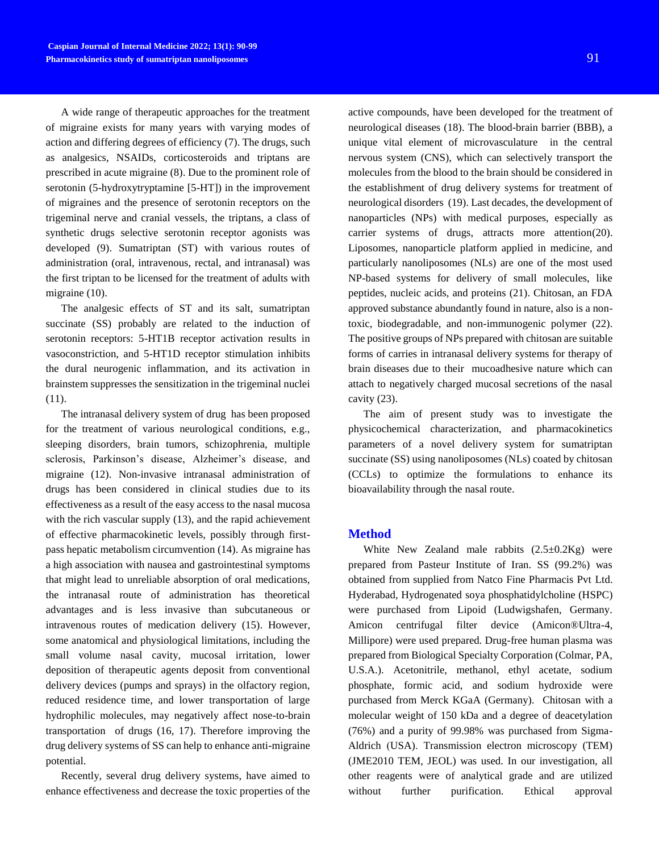A wide range of therapeutic approaches for the treatment of migraine exists for many years with varying modes of action and differing degrees of efficiency (7). The drugs, such as analgesics, NSAIDs, corticosteroids and triptans are prescribed in acute migraine (8). Due to the prominent role of serotonin (5-hydroxytryptamine [5-HT]) in the improvement of migraines and the presence of serotonin receptors on the trigeminal nerve and cranial vessels, the triptans, a class of synthetic drugs selective serotonin receptor agonists was developed (9). Sumatriptan (ST) with various routes of administration (oral, intravenous, rectal, and intranasal) was the first triptan to be licensed for the treatment of adults with migraine (10).

The analgesic effects of ST and its salt, sumatriptan succinate (SS) probably are related to the induction of serotonin receptors: 5-HT1B receptor activation results in vasoconstriction, and 5-HT1D receptor stimulation inhibits the dural neurogenic inflammation, and its activation in brainstem suppresses the sensitization in the trigeminal nuclei (11).

The intranasal delivery system of drug has been proposed for the treatment of various neurological conditions, e.g., sleeping disorders, brain tumors, schizophrenia, multiple sclerosis, Parkinson's disease, Alzheimer's disease, and migraine (12). Non-invasive intranasal administration of drugs has been considered in clinical studies due to its effectiveness as a result of the easy access to the nasal mucosa with the rich vascular supply (13), and the rapid achievement of effective pharmacokinetic levels, possibly through firstpass hepatic metabolism circumvention (14). As migraine has a high association with nausea and gastrointestinal symptoms that might lead to unreliable absorption of oral medications, the intranasal route of administration has theoretical advantages and is less invasive than subcutaneous or intravenous routes of medication delivery (15). However, some anatomical and physiological limitations, including the small volume nasal cavity, mucosal irritation, lower deposition of therapeutic agents deposit from conventional delivery devices (pumps and sprays) in the olfactory region, reduced residence time, and lower transportation of large hydrophilic molecules, may negatively affect nose-to-brain transportation of drugs (16, 17). Therefore improving the drug delivery systems of SS can help to enhance anti-migraine potential.

Recently, several drug delivery systems, have aimed to enhance effectiveness and decrease the toxic properties of the

active compounds, have been developed for the treatment of neurological diseases (18). The blood-brain barrier (BBB), a unique vital element of microvasculature in the central nervous system (CNS), which can selectively transport the molecules from the blood to the brain should be considered in the establishment of drug delivery systems for treatment of neurological disorders (19). Last decades, the development of nanoparticles (NPs) with medical purposes, especially as carrier systems of drugs, attracts more attention(20). Liposomes, nanoparticle platform applied in medicine, and particularly nanoliposomes (NLs) are one of the most used NP-based systems for delivery of small molecules, like peptides, nucleic acids, and proteins (21). Chitosan, an FDA approved substance abundantly found in nature, also is a nontoxic, biodegradable, and non-immunogenic polymer (22). The positive groups of NPs prepared with chitosan are suitable forms of carries in intranasal delivery systems for therapy of brain diseases due to their mucoadhesive nature which can attach to negatively charged mucosal secretions of the nasal cavity (23).

The aim of present study was to investigate the physicochemical characterization, and pharmacokinetics parameters of a novel delivery system for sumatriptan succinate (SS) using nanoliposomes (NLs) coated by chitosan (CCLs) to optimize the formulations to enhance its bioavailability through the nasal route.

## **Method**

White New Zealand male rabbits  $(2.5\pm0.2\text{Kg})$  were prepared from Pasteur Institute of Iran. SS (99.2%) was obtained from supplied from Natco Fine Pharmacis Pvt Ltd. Hyderabad, Hydrogenated [soya](https://www.sciencedirect.com/topics/pharmacology-toxicology-and-pharmaceutical-science/soybean) [phosphatidylcholine](https://www.sciencedirect.com/topics/pharmacology-toxicology-and-pharmaceutical-science/egg-lecithin) (HSPC) were purchased from Lipoid (Ludwigshafen, Germany. Amicon centrifugal filter device (Amicon®Ultra-4, Millipore) were used prepared. Drug-free human plasma was prepared from Biological Specialty Corporation (Colmar, PA, U.S.A.). Acetonitrile, methanol, ethyl acetate, sodium phosphate, formic acid, and sodium hydroxide were purchased from Merck KGaA (Germany). Chitosan with a molecular weight of 150 kDa and a degree of deacetylation (76%) and a purity of 99.98% was purchased from Sigma-Aldrich (USA). Transmission electron microscopy (TEM) (JME2010 TEM, JEOL) was used. In our investigation, all other reagents were of analytical grade and are utilized without further purification. Ethical approval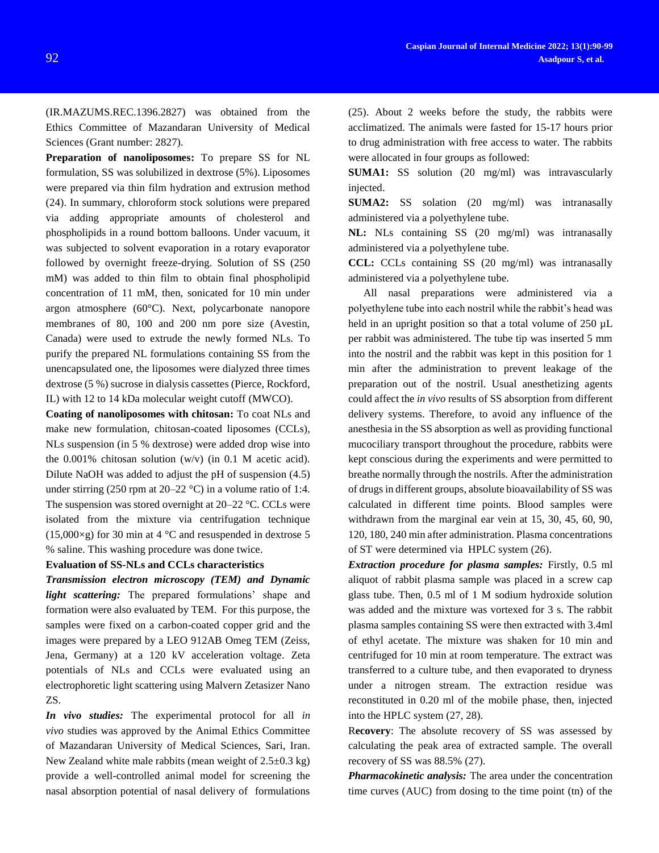(IR.MAZUMS.REC.1396.2827) was obtained from the Ethics Committee of Mazandaran University of Medical Sciences (Grant number: 2827).

**Preparation of nanoliposomes:** To prepare SS for NL formulation, SS was solubilized in dextrose (5%). Liposomes were prepared via thin film hydration and extrusion method (24). In summary, chloroform stock solutions were prepared via adding appropriate amounts of cholesterol and phospholipids in a round bottom balloons. Under vacuum, it was subjected to solvent evaporation in a rotary evaporator followed by overnight freeze-drying. Solution of SS (250 mM) was added to thin film to obtain final phospholipid concentration of 11 mM, then, sonicated for 10 min under argon atmosphere (60°C). Next, polycarbonate nanopore membranes of 80, 100 and 200 nm pore size (Avestin, Canada) were used to extrude the newly formed NLs. To purify the prepared NL formulations containing SS from the unencapsulated one, the liposomes were dialyzed three times dextrose (5 %) sucrose in dialysis cassettes (Pierce, Rockford, IL) with 12 to 14 kDa molecular weight cutoff (MWCO).

**Coating of nanoliposomes with chitosan:** To coat NLs and make new formulation, chitosan-coated liposomes (CCLs), NLs suspension (in 5 % dextrose) were added drop wise into the 0.001% chitosan solution (w/v) (in 0.1 M acetic acid). Dilute NaOH was added to adjust the pH of suspension (4.5) under stirring (250 rpm at  $20-22$  °C) in a volume ratio of 1:4. The suspension was stored overnight at 20–22 °C. CCLs were isolated from the mixture via centrifugation technique  $(15,000\times g)$  for 30 min at 4 °C and resuspended in dextrose 5 % saline. This washing procedure was done twice.

#### **Evaluation of SS-NLs and CCLs characteristics**

*Transmission electron microscopy (TEM) and Dynamic light scattering:* The prepared formulations' shape and formation were also evaluated by TEM. For this purpose, the samples were fixed on a carbon-coated copper grid and the images were prepared by a LEO 912AB Omeg TEM (Zeiss, Jena, Germany) at a 120 kV acceleration voltage. Zeta potentials of NLs and CCLs were evaluated using an electrophoretic light scattering using Malvern Zetasizer Nano ZS.

*In vivo studies:* The experimental protocol for all *in vivo* studies was approved by the Animal Ethics Committee of Mazandaran University of Medical Sciences, Sari, Iran. New Zealand white male rabbits (mean weight of  $2.5\pm0.3$  kg) provide a well-controlled animal model for screening the nasal absorption potential of nasal delivery of formulations

(25). About 2 weeks before the study, the rabbits were acclimatized. The animals were fasted for 15-17 hours prior to drug administration with free access to water. The rabbits were allocated in four groups as followed:

**SUMA1:** SS solution (20 mg/ml) was intravascularly injected.

**SUMA2:** SS solation (20 mg/ml) was intranasally administered via a polyethylene tube.

**NL:** NLs containing SS (20 mg/ml) was intranasally administered via a polyethylene tube.

**CCL:** CCLs containing SS (20 mg/ml) was intranasally administered via a polyethylene tube.

All nasal preparations were administered via a polyethylene tube into each nostril while the rabbit's head was held in an upright position so that a total volume of 250  $\mu$ L per rabbit was administered. The tube tip was inserted 5 mm into the nostril and the rabbit was kept in this position for 1 min after the administration to prevent leakage of the preparation out of the nostril. Usual anesthetizing agents could affect the *in vivo* results of SS absorption from different delivery systems. Therefore, to avoid any influence of the anesthesia in the SS absorption as well as providing functional mucociliary transport throughout the procedure, rabbits were kept conscious during the experiments and were permitted to breathe normally through the nostrils. After the administration of drugs in different groups, absolute bioavailability of SS was calculated in different time points. Blood samples were withdrawn from the marginal ear vein at 15, 30, 45, 60, 90, 120, 180, 240 min after administration. Plasma concentrations of ST were determined via HPLC system (26).

*Extraction procedure for plasma samples:* Firstly, 0.5 ml aliquot of rabbit plasma sample was placed in a screw cap glass tube. Then, 0.5 ml of 1 M sodium hydroxide solution was added and the mixture was vortexed for 3 s. The rabbit plasma samples containing SS were then extracted with 3.4ml of ethyl acetate. The mixture was shaken for 10 min and centrifuged for 10 min at room temperature. The extract was transferred to a culture tube, and then evaporated to dryness under a nitrogen stream. The extraction residue was reconstituted in 0.20 ml of the mobile phase, then, injected into the HPLC system (27, 28).

R**ecovery**: The absolute recovery of SS was assessed by calculating the peak area of extracted sample. The overall recovery of SS was 88.5% (27).

*Pharmacokinetic analysis:* The area under the concentration time curves (AUC) from dosing to the time point (tn) of the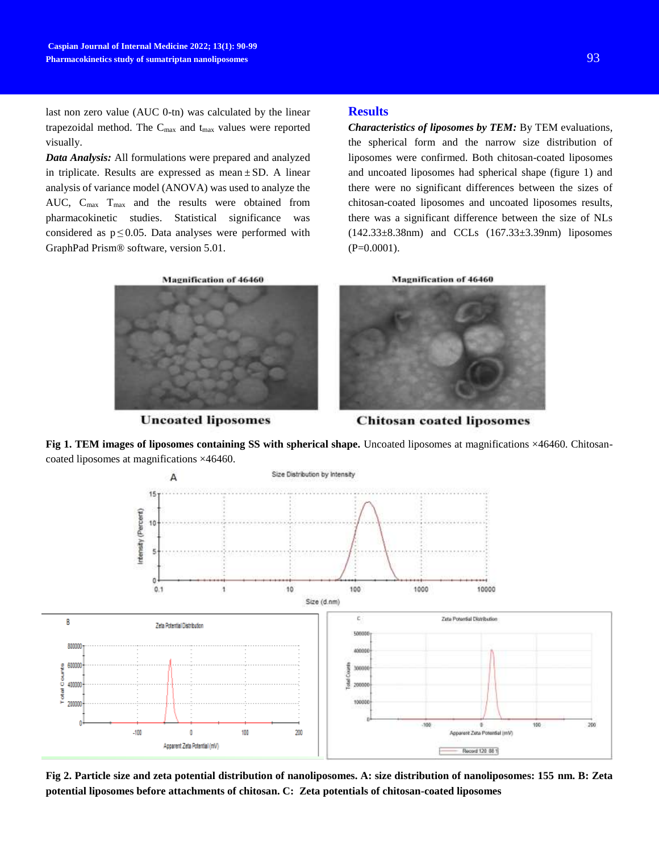last non zero value (AUC 0-tn) was calculated by the linear trapezoidal method. The  $C_{\text{max}}$  and  $t_{\text{max}}$  values were reported visually.

*Data Analysis:* All formulations were prepared and analyzed in triplicate. Results are expressed as mean  $\pm$  SD. A linear analysis of variance model (ANOVA) was used to analyze the AUC, C<sub>max</sub> T<sub>max</sub> and the results were obtained from pharmacokinetic studies. Statistical significance was considered as  $p \le 0.05$ . Data analyses were performed with GraphPad Prism® software, version 5.01.

# **Results**

*Characteristics of liposomes by TEM:* By TEM evaluations, the spherical form and the narrow size distribution of liposomes were confirmed. Both chitosan-coated liposomes and uncoated liposomes had spherical shape (figure 1) and there were no significant differences between the sizes of chitosan-coated liposomes and uncoated liposomes results, there was a significant difference between the size of NLs (142.33±8.38nm) and CCLs (167.33±3.39nm) liposomes (P=0.0001).



**Uncoated liposomes** 





**Chitosan coated liposomes** 

**Fig 1. TEM images of liposomes containing SS with spherical shape.** Uncoated liposomes at magnifications ×46460. Chitosancoated liposomes at magnifications ×46460.



**Fig 2. Particle size and zeta potential distribution of nanoliposomes. A: size distribution of nanoliposomes: 155 nm. B: Zeta potential liposomes before attachments of chitosan. C: Zeta potentials of chitosan-coated liposomes**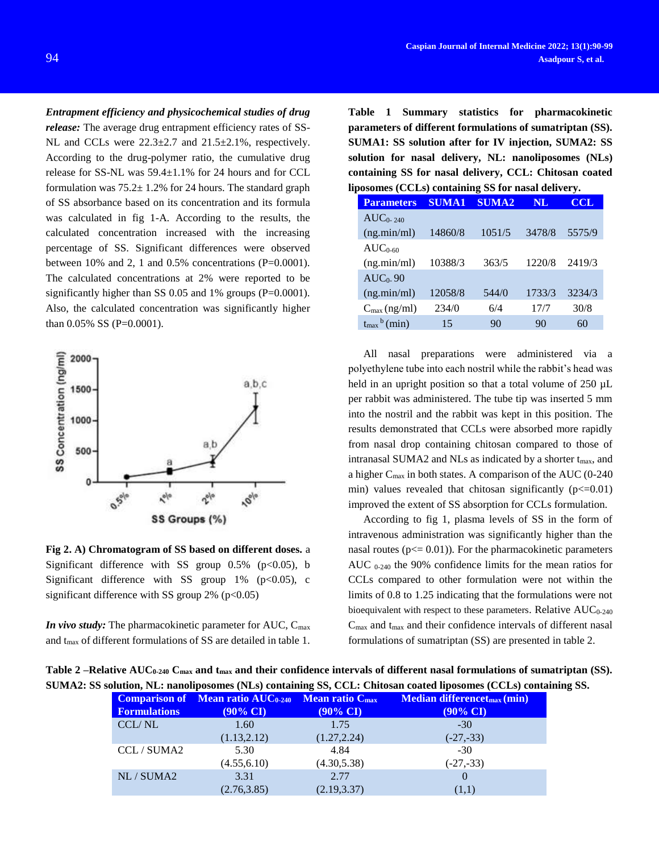*Entrapment efficiency and physicochemical studies of drug* 

*release:* The average drug entrapment efficiency rates of SS-NL and CCLs were  $22.3 \pm 2.7$  and  $21.5 \pm 2.1$ %, respectively. According to the drug-polymer ratio, the cumulative drug release for SS-NL was 59.4±1.1% for 24 hours and for CCL formulation was  $75.2 \pm 1.2$ % for 24 hours. The standard graph of SS absorbance based on its concentration and its formula was calculated in fig 1-A. According to the results, the calculated concentration increased with the increasing percentage of SS. Significant differences were observed between  $10\%$  and 2, 1 and  $0.5\%$  concentrations (P=0.0001). The calculated concentrations at 2% were reported to be significantly higher than SS 0.05 and 1% groups  $(P=0.0001)$ . Also, the calculated concentration was significantly higher than  $0.05\%$  SS (P=0.0001).



**Fig 2. A) Chromatogram of SS based on different doses.** a Significant difference with SS group  $0.5\%$  (p<0.05), b Significant difference with SS group  $1\%$  (p<0.05), c significant difference with SS group  $2\%$  (p<0.05)

*In vivo study:* The pharmacokinetic parameter for AUC, C<sub>max</sub> and t<sub>max</sub> of different formulations of SS are detailed in table 1. **Table 1 Summary statistics for pharmacokinetic parameters of different formulations of sumatriptan (SS). SUMA1: SS solution after for IV injection, SUMA2: SS solution for nasal delivery, NL: nanoliposomes (NLs) containing SS for nasal delivery, CCL: Chitosan coated liposomes (CCLs) containing SS for nasal delivery.**

|  | <b>Parameters</b>                 | <b>SUMA1</b> | <b>SUMA2</b> | <b>NL</b> | <b>CCL</b> |
|--|-----------------------------------|--------------|--------------|-----------|------------|
|  | $AUC_{0.240}$                     |              |              |           |            |
|  | (ng.min/ml)                       | 14860/8      | 1051/5       | 3478/8    | 5575/9     |
|  | $AUC_{0.60}$                      |              |              |           |            |
|  | (ng.min/ml)                       | 10388/3      | 363/5        | 1220/8    | 2419/3     |
|  | $AUC_0$ -90                       |              |              |           |            |
|  | (ng.min/ml)                       | 12058/8      | 544/0        | 1733/3    | 3234/3     |
|  | $C_{\text{max}}$ (ng/ml)          | 234/0        | 6/4          | 17/7      | 30/8       |
|  | $t_{\text{max}}^{\text{b}}$ (min) | 15           | 90           | 90        | 60         |

All nasal preparations were administered via a polyethylene tube into each nostril while the rabbit's head was held in an upright position so that a total volume of 250  $\mu$ L per rabbit was administered. The tube tip was inserted 5 mm into the nostril and the rabbit was kept in this position. The results demonstrated that CCLs were absorbed more rapidly from nasal drop containing chitosan compared to those of intranasal SUMA2 and NLs as indicated by a shorter  $t_{\text{max}}$ , and a higher Cmax in both states. A comparison of the AUC (0-240 min) values revealed that chitosan significantly  $(p < 0.01)$ improved the extent of SS absorption for CCLs formulation.

According to fig 1, plasma levels of SS in the form of intravenous administration was significantly higher than the nasal routes ( $p \leq 0.01$ )). For the pharmacokinetic parameters AUC 0-240 the 90% confidence limits for the mean ratios for CCLs compared to other formulation were not within the limits of 0.8 to 1.25 indicating that the formulations were not bioequivalent with respect to these parameters. Relative AUC<sub>0-240</sub>  $C_{\text{max}}$  and  $t_{\text{max}}$  and their confidence intervals of different nasal formulations of sumatriptan (SS) are presented in table 2.

| Table 2 –Relative AUC <sub>0-240</sub> C <sub>max</sub> and t <sub>max</sub> and their confidence intervals of different nasal formulations of sumatriptan (SS). |  |
|------------------------------------------------------------------------------------------------------------------------------------------------------------------|--|
| SUMA2: SS solution, NL: nanoliposomes (NLs) containing SS, CCL: Chitosan coated liposomes (CCLs) containing SS.                                                  |  |

|                     | Comparison of Mean ratio AUC0-240 Mean ratio C <sub>max</sub> |                     | Median differencet <sub>max</sub> (min) |  |
|---------------------|---------------------------------------------------------------|---------------------|-----------------------------------------|--|
| <b>Formulations</b> | $(90\% \text{ CI})$                                           | $(90\% \text{ CI})$ | $(90\% \text{ CI})$                     |  |
| CCL/NL              | 1.60                                                          | 1.75                | $-30$                                   |  |
|                     | (1.13, 2.12)                                                  | (1.27, 2.24)        | $(-27,-33)$                             |  |
| CCL/SUMA2           | 5.30                                                          | 4.84                | $-30$                                   |  |
|                     | (4.55, 6.10)                                                  | (4.30, 5.38)        | $(-27,-33)$                             |  |
| NL/SUMA2            | 3.31                                                          | 2.77                |                                         |  |
|                     | (2.76, 3.85)                                                  | (2.19, 3.37)        | (1,1)                                   |  |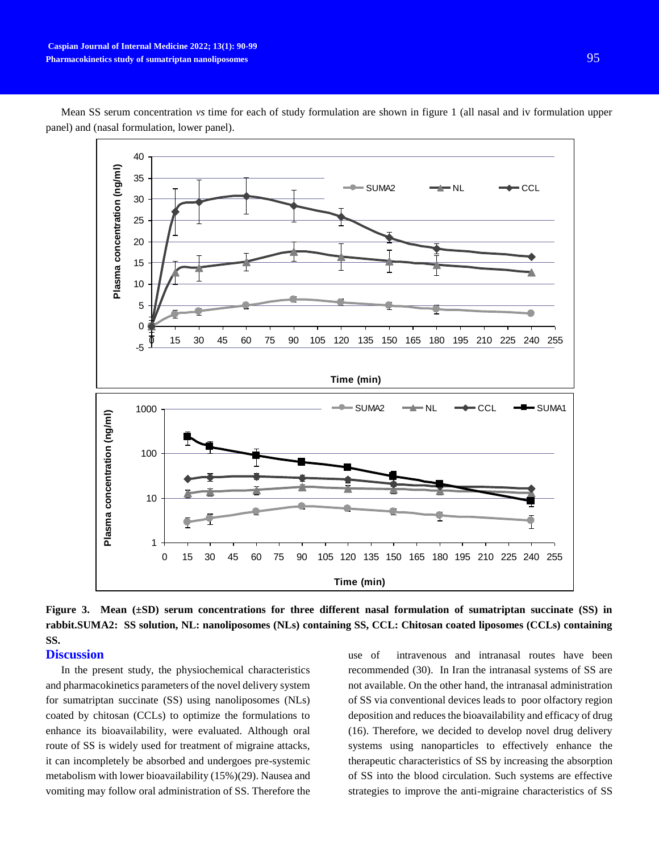

Mean SS serum concentration *vs* time for each of study formulation are shown in figure 1 (all nasal and iv formulation upper panel) and (nasal formulation, lower panel).

**Figure 3. Mean (±SD) serum concentrations for three different nasal formulation of sumatriptan succinate (SS) in rabbit.SUMA2: SS solution, NL: nanoliposomes (NLs) containing SS, CCL: Chitosan coated liposomes (CCLs) containing SS.**

## **Discussion**

In the present study, the physiochemical characteristics and pharmacokinetics parameters of the novel delivery system for sumatriptan succinate (SS) using nanoliposomes (NLs) coated by chitosan (CCLs) to optimize the formulations to enhance its bioavailability, were evaluated. Although oral route of SS is widely used for treatment of migraine attacks, it can incompletely be absorbed and undergoes pre-systemic metabolism with lower bioavailability (15%)(29). Nausea and vomiting may follow oral administration of SS. Therefore the use of intravenous and intranasal routes have been recommended (30). In Iran the intranasal systems of SS are not available. On the other hand, the intranasal administration of SS via conventional devices leads to poor olfactory region deposition and reduces the bioavailability and efficacy of drug (16). Therefore, we decided to develop novel drug delivery systems using nanoparticles to effectively enhance the therapeutic characteristics of SS by increasing the absorption of SS into the blood circulation. Such systems are effective strategies to improve the anti-migraine characteristics of SS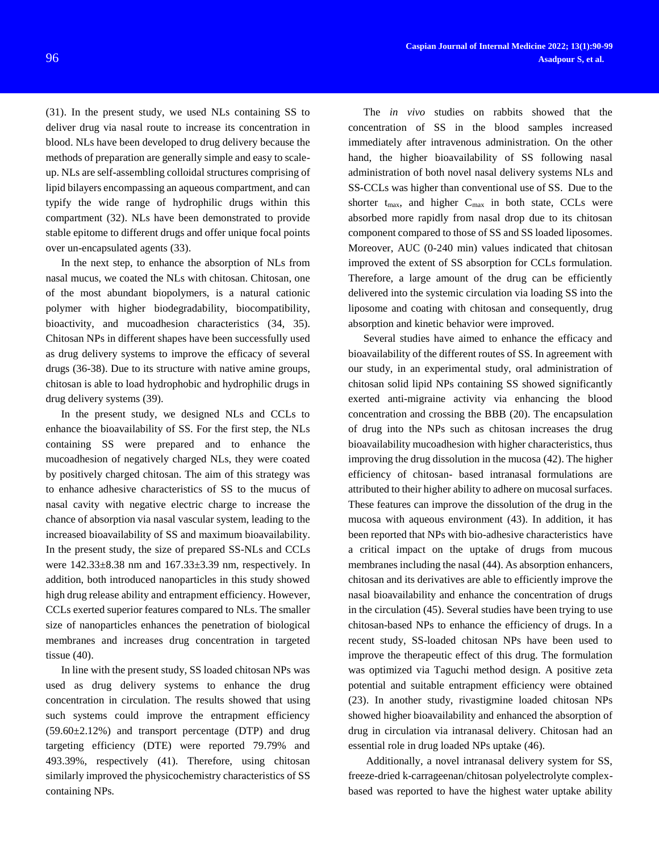(31). In the present study, we used NLs containing SS to deliver drug via nasal route to increase its concentration in blood. NLs have been developed to drug delivery because the methods of preparation are generally simple and easy to scaleup. NLs are self-assembling colloidal structures comprising of lipid bilayers encompassing an aqueous compartment, and can typify the wide range of hydrophilic drugs within this compartment (32). NLs have been demonstrated to provide stable epitome to different drugs and offer unique focal points over un-encapsulated agents (33).

In the next step, to enhance the absorption of NLs from nasal mucus, we coated the NLs with chitosan. Chitosan, one of the most abundant biopolymers, is a natural cationic polymer with higher biodegradability, biocompatibility, bioactivity, and mucoadhesion characteristics (34, 35). Chitosan NPs in different shapes have been successfully used as drug delivery systems to improve the efficacy of several drugs (36-38). Due to its structure with native amine groups, chitosan is able to load hydrophobic and hydrophilic drugs in drug delivery systems (39).

In the present study, we designed NLs and CCLs to enhance the bioavailability of SS. For the first step, the NLs containing SS were prepared and to enhance the mucoadhesion of negatively charged NLs, they were coated by positively charged chitosan. The aim of this strategy was to enhance adhesive characteristics of SS to the mucus of nasal cavity with negative electric charge to increase the chance of absorption via nasal vascular system, leading to the increased bioavailability of SS and maximum bioavailability. In the present study, the size of prepared SS-NLs and CCLs were 142.33±8.38 nm and 167.33±3.39 nm, respectively. In addition, both introduced nanoparticles in this study showed high drug release ability and entrapment efficiency. However, CCLs exerted superior features compared to NLs. The smaller size of nanoparticles enhances the penetration of biological membranes and increases drug concentration in targeted tissue (40).

In line with the present study, SS loaded chitosan NPs was used as drug delivery systems to enhance the drug concentration in circulation. The results showed that using such systems could improve the entrapment efficiency  $(59.60\pm2.12\%)$  and transport percentage (DTP) and drug targeting efficiency (DTE) were reported 79.79% and 493.39%, respectively (41). Therefore, using chitosan similarly improved the physicochemistry characteristics of SS containing NPs*.*

The *in vivo* studies on rabbits showed that the concentration of SS in the blood samples increased immediately after intravenous administration. On the other hand, the higher bioavailability of SS following nasal administration of both novel nasal delivery systems NLs and SS-CCLs was higher than conventional use of SS. Due to the shorter  $t_{\text{max}}$ , and higher  $C_{\text{max}}$  in both state, CCLs were absorbed more rapidly from nasal drop due to its chitosan component compared to those of SS and SS loaded liposomes. Moreover, AUC (0-240 min) values indicated that chitosan improved the extent of SS absorption for CCLs formulation. Therefore, a large amount of the drug can be efficiently delivered into the systemic circulation via loading SS into the liposome and coating with chitosan and consequently, drug absorption and kinetic behavior were improved.

Several studies have aimed to enhance the efficacy and bioavailability of the different routes of SS. In agreement with our study, in an experimental study, oral administration of chitosan solid lipid NPs containing SS showed significantly exerted anti-migraine activity via enhancing the blood concentration and crossing the BBB (20). The encapsulation of drug into the NPs such as chitosan increases the drug bioavailability mucoadhesion with higher characteristics, thus improving the drug dissolution in the mucosa (42). The higher efficiency of chitosan- based intranasal formulations are attributed to their higher ability to adhere on mucosal surfaces. These features can improve the dissolution of the drug in the mucosa with aqueous environment (43). In addition, it has been reported that NPs with bio-adhesive characteristics have a critical impact on the uptake of drugs from mucous membranes including the nasal (44). As absorption enhancers, chitosan and its derivatives are able to efficiently improve the nasal bioavailability and enhance the concentration of drugs in the circulation (45). Several studies have been trying to use chitosan-based NPs to enhance the efficiency of drugs. In a recent study, SS-loaded chitosan NPs have been used to improve the therapeutic effect of this drug. The formulation was optimized via Taguchi method design. A positive zeta potential and suitable entrapment efficiency were obtained (23). In another study, rivastigmine loaded chitosan NPs showed higher bioavailability and enhanced the absorption of drug in circulation via intranasal delivery. Chitosan had an essential role in drug loaded NPs uptake (46).

Additionally, a novel intranasal delivery system for SS, freeze-dried k-carrageenan/chitosan polyelectrolyte complexbased was reported to have the highest water uptake ability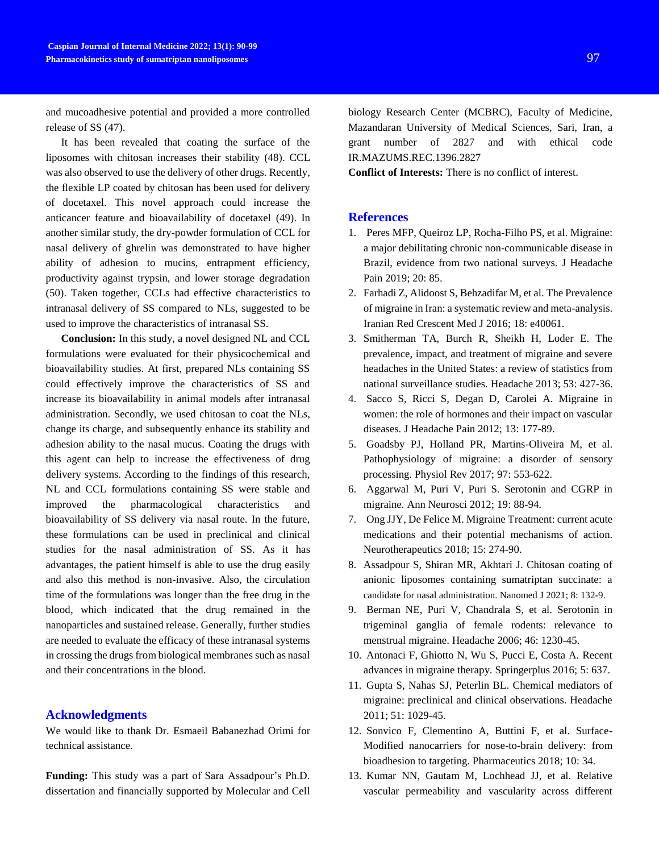and mucoadhesive potential and provided a more controlled release of SS (47).

It has been revealed that coating the surface of the liposomes with chitosan increases their stability (48). CCL was also observed to use the delivery of other drugs. Recently, the flexible LP coated by chitosan has been used for delivery of docetaxel. This novel approach could increase the anticancer feature and bioavailability of docetaxel (49). In another similar study, the dry-powder formulation of CCL for nasal delivery of ghrelin was demonstrated to have higher ability of adhesion to mucins, entrapment efficiency, productivity against trypsin, and lower storage degradation (50). Taken together, CCLs had effective characteristics to intranasal delivery of SS compared to NLs, suggested to be used to improve the characteristics of intranasal SS.

**Conclusion:** In this study, a novel designed NL and CCL formulations were evaluated for their physicochemical and bioavailability studies. At first, prepared NLs containing SS could effectively improve the characteristics of SS and increase its bioavailability in animal models after intranasal administration. Secondly, we used chitosan to coat the NLs, change its charge, and subsequently enhance its stability and adhesion ability to the nasal mucus. Coating the drugs with this agent can help to increase the effectiveness of drug delivery systems. According to the findings of this research, NL and CCL formulations containing SS were stable and improved the pharmacological characteristics and bioavailability of SS delivery via nasal route. In the future, these formulations can be used in preclinical and clinical studies for the nasal administration of SS. As it has advantages, the patient himself is able to use the drug easily and also this method is non-invasive. Also, the circulation time of the formulations was longer than the free drug in the blood, which indicated that the drug remained in the nanoparticles and sustained release. Generally, further studies are needed to evaluate the efficacy of these intranasal systems in crossing the drugs from biological membranes such as nasal and their concentrations in the blood.

# **Acknowledgments**

We would like to thank Dr. Esmaeil Babanezhad Orimi for technical assistance.

**Funding:** This study was a part of Sara Assadpour's Ph.D. dissertation and financially supported by Molecular and Cell

biology Research Center (MCBRC), Faculty of Medicine, Mazandaran University of Medical Sciences, Sari, Iran, a grant number of 2827 and with ethical code IR.MAZUMS.REC.1396.2827

**Conflict of Interests:** There is no conflict of interest.

## **References**

- 1. Peres MFP, Queiroz LP, Rocha-Filho PS, et al. Migraine: a major debilitating chronic non-communicable disease in Brazil, evidence from two national surveys. J Headache Pain 2019; 20: 85.
- 2. Farhadi Z, Alidoost S, Behzadifar M, et al. The Prevalence of migraine in Iran: a systematic review and meta-analysis. Iranian Red Crescent Med J 2016; 18: e40061.
- 3. Smitherman TA, Burch R, Sheikh H, Loder E. The prevalence, impact, and treatment of migraine and severe headaches in the United States: a review of statistics from national surveillance studies. Headache 2013; 53: 427-36.
- 4. Sacco S, Ricci S, Degan D, Carolei A. Migraine in women: the role of hormones and their impact on vascular diseases. J Headache Pain 2012; 13: 177-89.
- 5. Goadsby PJ, Holland PR, Martins-Oliveira M, et al. Pathophysiology of migraine: a disorder of sensory processing. Physiol Rev 2017; 97: 553-622.
- 6. Aggarwal M, Puri V, Puri S. Serotonin and CGRP in migraine. Ann Neurosci 2012; 19: 88-94.
- 7. Ong JJY, De Felice M. Migraine Treatment: current acute medications and their potential mechanisms of action. Neurotherapeutics 2018; 15: 274-90.
- 8. Assadpour S, Shiran MR, Akhtari J. Chitosan coating of anionic liposomes containing sumatriptan succinate: a candidate for nasal administration. Nanomed J 2021; 8: 132-9.
- 9. Berman NE, Puri V, Chandrala S, et al. Serotonin in trigeminal ganglia of female rodents: relevance to menstrual migraine. Headache 2006; 46: 1230-45.
- 10. Antonaci F, Ghiotto N, Wu S, Pucci E, Costa A. Recent advances in migraine therapy. Springerplus 2016; 5: 637.
- 11. Gupta S, Nahas SJ, Peterlin BL. Chemical mediators of migraine: preclinical and clinical observations. Headache 2011; 51: 1029-45.
- 12. Sonvico F, Clementino A, Buttini F, et al. Surface-Modified nanocarriers for nose-to-brain delivery: from bioadhesion to targeting. Pharmaceutics 2018; 10: 34.
- 13. Kumar NN, Gautam M, Lochhead JJ, et al. Relative vascular permeability and vascularity across different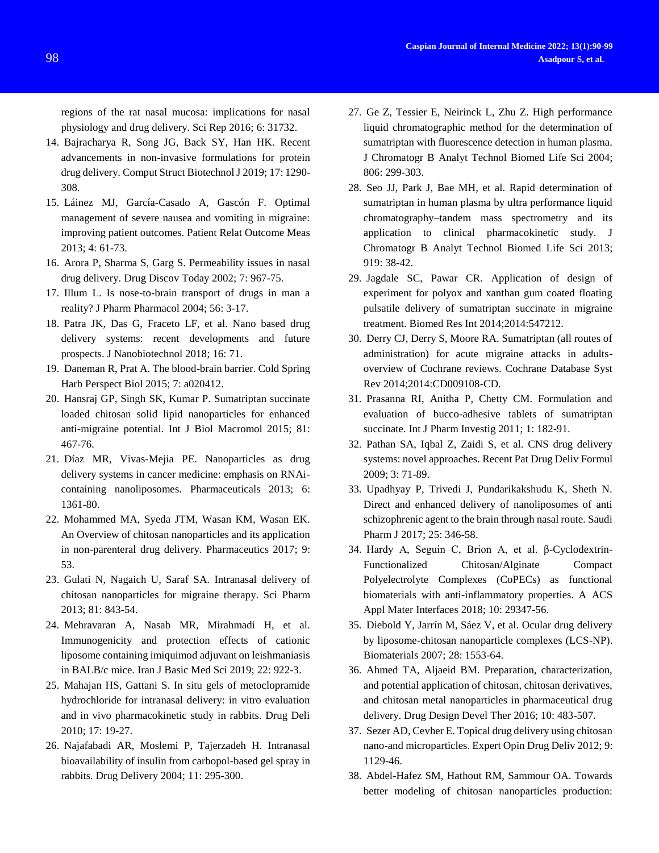regions of the rat nasal mucosa: implications for nasal physiology and drug delivery. Sci Rep 2016; 6: 31732.

- 14. Bajracharya R, Song JG, Back SY, Han HK. Recent advancements in non-invasive formulations for protein drug delivery. Comput Struct Biotechnol J 2019; 17: 1290- 308.
- 15. Láinez MJ, García-Casado A, Gascón F. Optimal management of severe nausea and vomiting in migraine: improving patient outcomes. Patient Relat Outcome Meas 2013; 4: 61-73.
- 16. Arora P, Sharma S, Garg S. Permeability issues in nasal drug delivery. Drug Discov Today 2002; 7: 967-75.
- 17. Illum L. Is nose-to-brain transport of drugs in man a reality? J Pharm Pharmacol 2004; 56: 3-17.
- 18. Patra JK, Das G, Fraceto LF, et al. Nano based drug delivery systems: recent developments and future prospects. J Nanobiotechnol 2018; 16: 71.
- 19. Daneman R, Prat A. The blood-brain barrier. Cold Spring Harb Perspect Biol 2015; 7: a020412.
- 20. Hansraj GP, Singh SK, Kumar P. Sumatriptan succinate loaded chitosan solid lipid nanoparticles for enhanced anti-migraine potential. Int J Biol Macromol 2015; 81: 467-76.
- 21. Díaz MR, Vivas-Mejia PE. Nanoparticles as drug delivery systems in cancer medicine: emphasis on RNAicontaining nanoliposomes. Pharmaceuticals 2013; 6: 1361-80.
- 22. Mohammed MA, Syeda JTM, Wasan KM, Wasan EK. An Overview of chitosan nanoparticles and its application in non-parenteral drug delivery. Pharmaceutics 2017; 9: 53.
- 23. Gulati N, Nagaich U, Saraf SA. Intranasal delivery of chitosan nanoparticles for migraine therapy. Sci Pharm 2013; 81: 843-54.
- 24. Mehravaran A, Nasab MR, Mirahmadi H, et al. Immunogenicity and protection effects of cationic liposome containing imiquimod adjuvant on leishmaniasis in BALB/c mice. Iran J Basic Med Sci 2019; 22: 922-3.
- 25. Mahajan HS, Gattani S. In situ gels of metoclopramide hydrochloride for intranasal delivery: in vitro evaluation and in vivo pharmacokinetic study in rabbits. Drug Deli 2010; 17: 19-27.
- 26. Najafabadi AR, Moslemi P, Tajerzadeh H. Intranasal bioavailability of insulin from carbopol-based gel spray in rabbits. Drug Delivery 2004; 11: 295-300.
- 27. Ge Z, Tessier E, Neirinck L, Zhu Z. High performance liquid chromatographic method for the determination of sumatriptan with fluorescence detection in human plasma. J Chromatogr B Analyt Technol Biomed Life Sci 2004; 806: 299-303.
- 28. Seo JJ, Park J, Bae MH, et al. Rapid determination of sumatriptan in human plasma by ultra performance liquid chromatography–tandem mass spectrometry and its application to clinical pharmacokinetic study. J Chromatogr B Analyt Technol Biomed Life Sci 2013; 919: 38-42.
- 29. Jagdale SC, Pawar CR. Application of design of experiment for polyox and xanthan gum coated floating pulsatile delivery of sumatriptan succinate in migraine treatment. Biomed Res Int 2014;2014:547212.
- 30. Derry CJ, Derry S, Moore RA. Sumatriptan (all routes of administration) for acute migraine attacks in adultsoverview of Cochrane reviews. Cochrane Database Syst Rev 2014;2014:CD009108-CD.
- 31. Prasanna RI, Anitha P, Chetty CM. Formulation and evaluation of bucco-adhesive tablets of sumatriptan succinate. Int J Pharm Investig 2011; 1: 182-91.
- 32. Pathan SA, Iqbal Z, Zaidi S, et al. CNS drug delivery systems: novel approaches. Recent Pat Drug Deliv Formul 2009; 3: 71-89.
- 33. Upadhyay P, Trivedi J, Pundarikakshudu K, Sheth N. Direct and enhanced delivery of nanoliposomes of anti schizophrenic agent to the brain through nasal route. Saudi Pharm J 2017; 25: 346-58.
- 34. Hardy A, Seguin C, Brion A, et al. β-Cyclodextrin-Functionalized Chitosan/Alginate Compact Polyelectrolyte Complexes (CoPECs) as functional biomaterials with anti-inflammatory properties. A ACS Appl Mater Interfaces 2018; 10: 29347-56.
- 35. Diebold Y, Jarrín M, Sáez V, et al. Ocular drug delivery by liposome-chitosan nanoparticle complexes (LCS-NP). Biomaterials 2007; 28: 1553-64.
- 36. Ahmed TA, Aljaeid BM. Preparation, characterization, and potential application of chitosan, chitosan derivatives, and chitosan metal nanoparticles in pharmaceutical drug delivery. Drug Design Devel Ther 2016; 10: 483-507.
- 37. Sezer AD, Cevher E. Topical drug delivery using chitosan nano-and microparticles. Expert Opin Drug Deliv 2012; 9: 1129-46.
- 38. Abdel-Hafez SM, Hathout RM, Sammour OA. Towards better modeling of chitosan nanoparticles production: